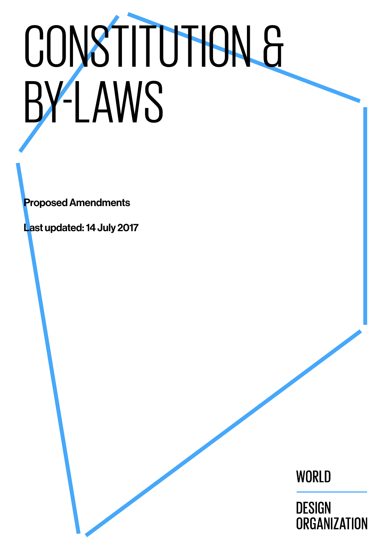# CONSTITUTION & BY-LAWS

**Proposed Amendments** 

Last updated: 14 July 2017

WORLD

**DESIGN ORGANIZATION**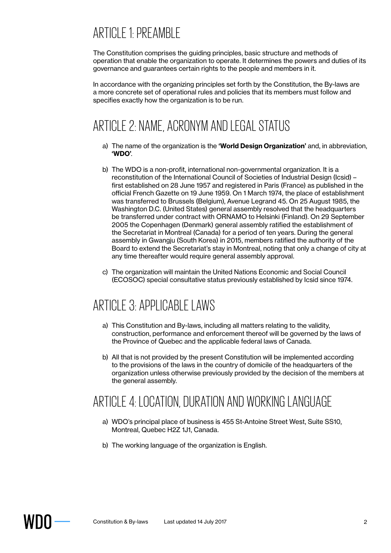## ARTICLE 1: PREAMBLE

The Constitution comprises the guiding principles, basic structure and methods of operation that enable the organization to operate. It determines the powers and duties of its governance and guarantees certain rights to the people and members in it.

In accordance with the organizing principles set forth by the Constitution, the By-laws are a more concrete set of operational rules and policies that its members must follow and specifies exactly how the organization is to be run.

## ARTICLE 2: NAME, ACRONYM AND LEGAL STATUS

- a) The name of the organization is the **'World Design Organization'** and, in abbreviation, **'WDO'**.
- b) The WDO is a non-profit, international non-governmental organization. It is a reconstitution of the International Council of Societies of Industrial Design (Icsid) – first established on 28 June 1957 and registered in Paris (France) as published in the official French Gazette on 19 June 1959. On 1 March 1974, the place of establishment was transferred to Brussels (Belgium), Avenue Legrand 45. On 25 August 1985, the Washington D.C. (United States) general assembly resolved that the headquarters be transferred under contract with ORNAMO to Helsinki (Finland). On 29 September 2005 the Copenhagen (Denmark) general assembly ratified the establishment of the Secretariat in Montreal (Canada) for a period of ten years. During the general assembly in Gwangju (South Korea) in 2015, members ratified the authority of the Board to extend the Secretariat's stay in Montreal, noting that only a change of city at any time thereafter would require general assembly approval.
- c) The organization will maintain the United Nations Economic and Social Council (ECOSOC) special consultative status previously established by Icsid since 1974.

## ARTICLE 3: APPLICABLE LAWS

- a) This Constitution and By-laws, including all matters relating to the validity, construction, performance and enforcement thereof will be governed by the laws of the Province of Quebec and the applicable federal laws of Canada.
- b) All that is not provided by the present Constitution will be implemented according to the provisions of the laws in the country of domicile of the headquarters of the organization unless otherwise previously provided by the decision of the members at the general assembly.

## ARTICLE 4: LOCATION, DURATION AND WORKING LANGUAGE

- a) WDO's principal place of business is 455 St-Antoine Street West, Suite SS10, Montreal, Quebec H2Z 1J1, Canada.
- b) The working language of the organization is English.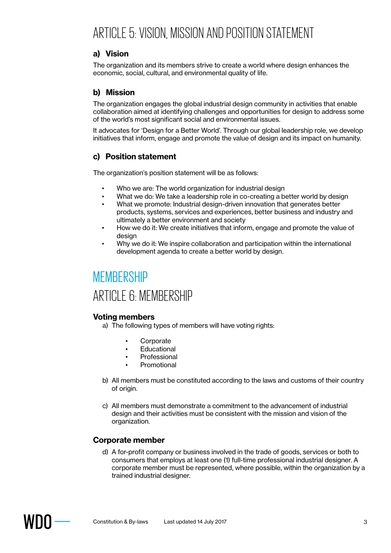## ARTICLE 5: VISION, MISSION AND POSITION STATEMENT

#### **a) Vision**

The organization and its members strive to create a world where design enhances the economic, social, cultural, and environmental quality of life.

#### **b) Mission**

The organization engages the global industrial design community in activities that enable collaboration aimed at identifying challenges and opportunities for design to address some of the world's most significant social and environmental issues.

It advocates for 'Design for a Better World'. Through our global leadership role, we develop initiatives that inform, engage and promote the value of design and its impact on humanity.

#### **c) Position statement**

The organization's position statement will be as follows:

- Who we are: The world organization for industrial design
- What we do: We take a leadership role in co-creating a better world by design
- What we promote: Industrial design-driven innovation that generates better products, systems, services and experiences, better business and industry and ultimately a better environment and society
- How we do it: We create initiatives that inform, engage and promote the value of design
- Why we do it: We inspire collaboration and participation within the international development agenda to create a better world by design.

## **MEMBERSHIP** ARTICLE 6: MEMBERSHIP

#### **Voting members**

a) The following types of members will have voting rights:

- **Corporate**
- **Educational**
- **Professional**
- **Promotional**
- b) All members must be constituted according to the laws and customs of their country of origin.
- c) All members must demonstrate a commitment to the advancement of industrial design and their activities must be consistent with the mission and vision of the organization.

#### **Corporate member**

d) A for-profit company or business involved in the trade of goods, services or both to consumers that employs at least one (1) full-time professional industrial designer. A corporate member must be represented, where possible, within the organization by a trained industrial designer.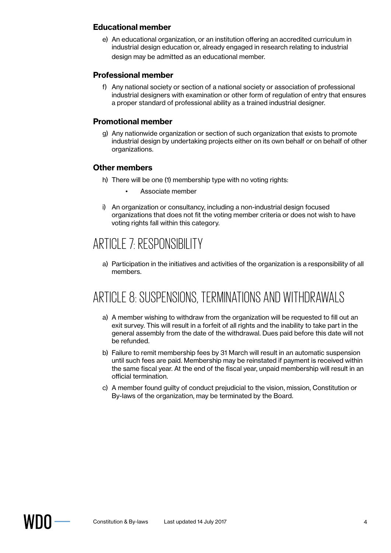#### **Educational member**

e) An educational organization, or an institution offering an accredited curriculum in industrial design education or, already engaged in research relating to industrial design may be admitted as an educational member.

#### **Professional member**

f) Any national society or section of a national society or association of professional industrial designers with examination or other form of regulation of entry that ensures a proper standard of professional ability as a trained industrial designer.

#### **Promotional member**

g) Any nationwide organization or section of such organization that exists to promote industrial design by undertaking projects either on its own behalf or on behalf of other organizations.

#### **Other members**

- h) There will be one (1) membership type with no voting rights:
	- Associate member
- i) An organization or consultancy, including a non-industrial design focused organizations that does not fit the voting member criteria or does not wish to have voting rights fall within this category.

## ARTICLE 7: RESPONSIBILITY

a) Participation in the initiatives and activities of the organization is a responsibility of all members.

## ARTICLE 8: SUSPENSIONS, TERMINATIONS AND WITHDRAWALS

- a) A member wishing to withdraw from the organization will be requested to fill out an exit survey. This will result in a forfeit of all rights and the inability to take part in the general assembly from the date of the withdrawal. Dues paid before this date will not be refunded.
- b) Failure to remit membership fees by 31 March will result in an automatic suspension until such fees are paid. Membership may be reinstated if payment is received within the same fiscal year. At the end of the fiscal year, unpaid membership will result in an official termination.
- c) A member found guilty of conduct prejudicial to the vision, mission, Constitution or By-laws of the organization, may be terminated by the Board.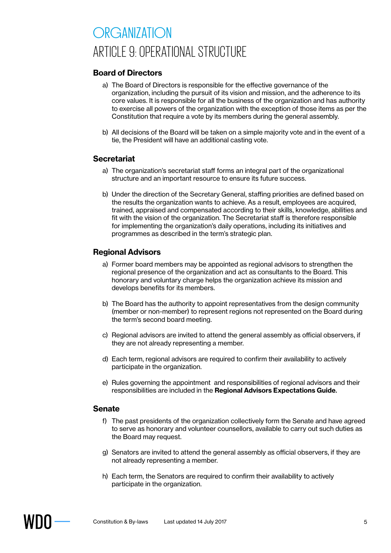# ORGANIZATION ARTICLE 9: OPERATIONAL STRUCTURE

#### **Board of Directors**

- a) The Board of Directors is responsible for the effective governance of the organization, including the pursuit of its vision and mission, and the adherence to its core values. It is responsible for all the business of the organization and has authority to exercise all powers of the organization with the exception of those items as per the Constitution that require a vote by its members during the general assembly.
- b) All decisions of the Board will be taken on a simple majority vote and in the event of a tie, the President will have an additional casting vote.

#### **Secretariat**

- a) The organization's secretariat staff forms an integral part of the organizational structure and an important resource to ensure its future success.
- b) Under the direction of the Secretary General, staffing priorities are defined based on the results the organization wants to achieve. As a result, employees are acquired, trained, appraised and compensated according to their skills, knowledge, abilities and fit with the vision of the organization. The Secretariat staff is therefore responsible for implementing the organization's daily operations, including its initiatives and programmes as described in the term's strategic plan.

#### **Regional Advisors**

- a) Former board members may be appointed as regional advisors to strengthen the regional presence of the organization and act as consultants to the Board. This honorary and voluntary charge helps the organization achieve its mission and develops benefits for its members.
- b) The Board has the authority to appoint representatives from the design community (member or non-member) to represent regions not represented on the Board during the term's second board meeting.
- c) Regional advisors are invited to attend the general assembly as official observers, if they are not already representing a member.
- d) Each term, regional advisors are required to confirm their availability to actively participate in the organization.
- e) Rules governing the appointment and responsibilities of regional advisors and their responsibilities are included in the **Regional Advisors Expectations Guide**.

#### **Senate**

- f) The past presidents of the organization collectively form the Senate and have agreed to serve as honorary and volunteer counsellors, available to carry out such duties as the Board may request.
- g) Senators are invited to attend the general assembly as official observers, if they are not already representing a member.
- h) Each term, the Senators are required to confirm their availability to actively participate in the organization.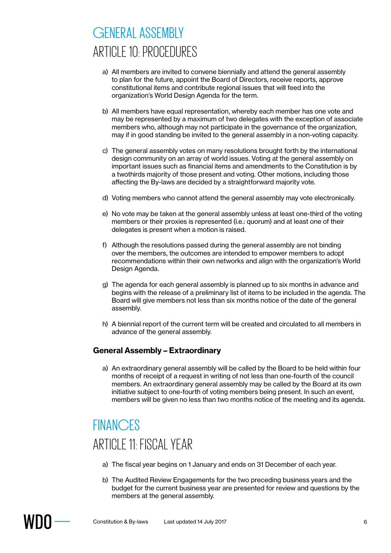# GENERAL ASSEMBLY ARTICLE 10: PROCEDURES

- a) All members are invited to convene biennially and attend the general assembly to plan for the future, appoint the Board of Directors, receive reports, approve constitutional items and contribute regional issues that will feed into the organization's World Design Agenda for the term.
- b) All members have equal representation, whereby each member has one vote and may be represented by a maximum of two delegates with the exception of associate members who, although may not participate in the governance of the organization, may if in good standing be invited to the general assembly in a non-voting capacity.
- c) The general assembly votes on many resolutions brought forth by the international design community on an array of world issues. Voting at the general assembly on important issues such as financial items and amendments to the Constitution is by a twothirds majority of those present and voting. Other motions, including those affecting the By-laws are decided by a straightforward majority vote.
- d) Voting members who cannot attend the general assembly may vote electronically.
- e) No vote may be taken at the general assembly unless at least one-third of the voting members or their proxies is represented (i.e.: quorum) and at least one of their delegates is present when a motion is raised.
- f) Although the resolutions passed during the general assembly are not binding over the members, the outcomes are intended to empower members to adopt recommendations within their own networks and align with the organization's World Design Agenda.
- g) The agenda for each general assembly is planned up to six months in advance and begins with the release of a preliminary list of items to be included in the agenda. The Board will give members not less than six months notice of the date of the general assembly.
- h) A biennial report of the current term will be created and circulated to all members in advance of the general assembly.

#### **General Assembly – Extraordinary**

a) An extraordinary general assembly will be called by the Board to be held within four months of receipt of a request in writing of not less than one-fourth of the council members. An extraordinary general assembly may be called by the Board at its own initiative subject to one-fourth of voting members being present. In such an event, members will be given no less than two months notice of the meeting and its agenda.

## **FINANCES** ARTICLE 11: FISCAL YEAR

- a) The fiscal year begins on 1 January and ends on 31 December of each year.
- b) The Audited Review Engagements for the two preceding business years and the budget for the current business year are presented for review and questions by the members at the general assembly.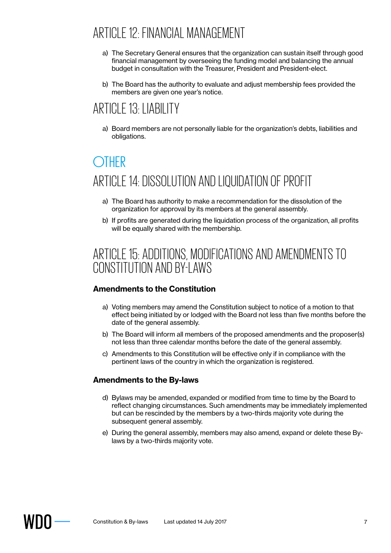## ARTICLE 12: FINANCIAL MANAGEMENT

- a) The Secretary General ensures that the organization can sustain itself through good financial management by overseeing the funding model and balancing the annual budget in consultation with the Treasurer, President and President-elect.
- b) The Board has the authority to evaluate and adjust membership fees provided the members are given one year's notice.

## ARTICLE 13: LIABILITY

a) Board members are not personally liable for the organization's debts, liabilities and obligations.

# **OTHER** ARTICLE 14: DISSOLUTION AND LIQUIDATION OF PROFIT

- a) The Board has authority to make a recommendation for the dissolution of the organization for approval by its members at the general assembly.
- b) If profits are generated during the liquidation process of the organization, all profits will be equally shared with the membership.

## ARTICLE 15: ADDITIONS, MODIFICATIONS AND AMENDMENTS TO CONSTITUTION AND BY-LAWS

#### **Amendments to the Constitution**

- a) Voting members may amend the Constitution subject to notice of a motion to that effect being initiated by or lodged with the Board not less than five months before the date of the general assembly.
- b) The Board will inform all members of the proposed amendments and the proposer(s) not less than three calendar months before the date of the general assembly.
- c) Amendments to this Constitution will be effective only if in compliance with the pertinent laws of the country in which the organization is registered.

#### **Amendments to the By-laws**

- d) Bylaws may be amended, expanded or modified from time to time by the Board to reflect changing circumstances. Such amendments may be immediately implemented but can be rescinded by the members by a two-thirds majority vote during the subsequent general assembly.
- e) During the general assembly, members may also amend, expand or delete these Bylaws by a two-thirds majority vote.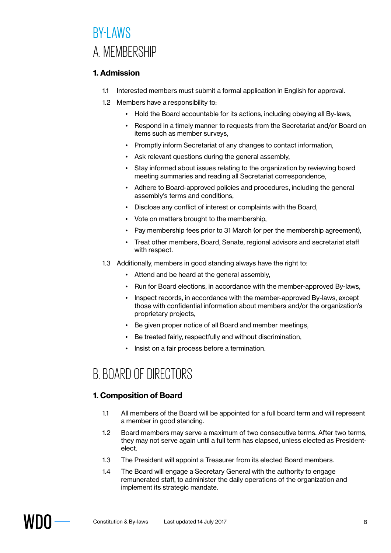## **BY-LAWS** A. MEMBERSHIP

#### **1. Admission**

- 1.1 Interested members must submit a formal application in English for approval.
- 1.2 Members have a responsibility to:
	- Hold the Board accountable for its actions, including obeying all By-laws,
	- Respond in a timely manner to requests from the Secretariat and/or Board on items such as member surveys,
	- Promptly inform Secretariat of any changes to contact information,
	- Ask relevant questions during the general assembly,
	- Stay informed about issues relating to the organization by reviewing board meeting summaries and reading all Secretariat correspondence,
	- Adhere to Board-approved policies and procedures, including the general assembly's terms and conditions,
	- Disclose any conflict of interest or complaints with the Board,
	- Vote on matters brought to the membership,
	- Pay membership fees prior to 31 March (or per the membership agreement),
	- Treat other members, Board, Senate, regional advisors and secretariat staff with respect.
- 1.3 Additionally, members in good standing always have the right to:
	- Attend and be heard at the general assembly,
	- Run for Board elections, in accordance with the member-approved By-laws,
	- Inspect records, in accordance with the member-approved By-laws, except those with confidential information about members and/or the organization's proprietary projects,
	- Be given proper notice of all Board and member meetings,
	- Be treated fairly, respectfully and without discrimination,
	- Insist on a fair process before a termination.

## B. BOARD OF DIRECTORS

#### **1. Composition of Board**

- 1.1 All members of the Board will be appointed for a full board term and will represent a member in good standing.
- 1.2 Board members may serve a maximum of two consecutive terms. After two terms, they may not serve again until a full term has elapsed, unless elected as Presidentelect.
- 1.3 The President will appoint a Treasurer from its elected Board members.
- 1.4 The Board will engage a Secretary General with the authority to engage remunerated staff, to administer the daily operations of the organization and implement its strategic mandate.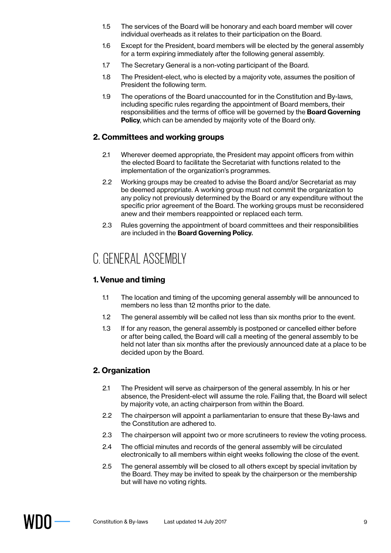- 1.5 The services of the Board will be honorary and each board member will cover individual overheads as it relates to their participation on the Board.
- 1.6 Except for the President, board members will be elected by the general assembly for a term expiring immediately after the following general assembly.
- 1.7 The Secretary General is a non-voting participant of the Board.
- 1.8 The President-elect, who is elected by a majority vote, assumes the position of President the following term.
- 1.9 The operations of the Board unaccounted for in the Constitution and By-laws, including specific rules regarding the appointment of Board members, their responsibilities and the terms of office will be governed by the **Board Governing Policy, which can be amended by majority vote of the Board only.**

#### **2. Committees and working groups**

- 2.1 Wherever deemed appropriate, the President may appoint officers from within the elected Board to facilitate the Secretariat with functions related to the implementation of the organization's programmes.
- 2.2 Working groups may be created to advise the Board and/or Secretariat as may be deemed appropriate. A working group must not commit the organization to any policy not previously determined by the Board or any expenditure without the specific prior agreement of the Board. The working groups must be reconsidered anew and their members reappointed or replaced each term.
- 2.3 Rules governing the appointment of board committees and their responsibilities are included in the **Board Governing Policy**.

## C. GENERAL ASSEMBLY

#### **1. Venue and timing**

- 1.1 The location and timing of the upcoming general assembly will be announced to members no less than 12 months prior to the date.
- 1.2 The general assembly will be called not less than six months prior to the event.
- 1.3 If for any reason, the general assembly is postponed or cancelled either before or after being called, the Board will call a meeting of the general assembly to be held not later than six months after the previously announced date at a place to be decided upon by the Board.

#### **2. Organization**

- 2.1 The President will serve as chairperson of the general assembly. In his or her absence, the President-elect will assume the role. Failing that, the Board will select by majority vote, an acting chairperson from within the Board.
- 2.2 The chairperson will appoint a parliamentarian to ensure that these By-laws and the Constitution are adhered to.
- 2.3 The chairperson will appoint two or more scrutineers to review the voting process.
- 2.4 The official minutes and records of the general assembly will be circulated electronically to all members within eight weeks following the close of the event.
- 2.5 The general assembly will be closed to all others except by special invitation by the Board. They may be invited to speak by the chairperson or the membership but will have no voting rights.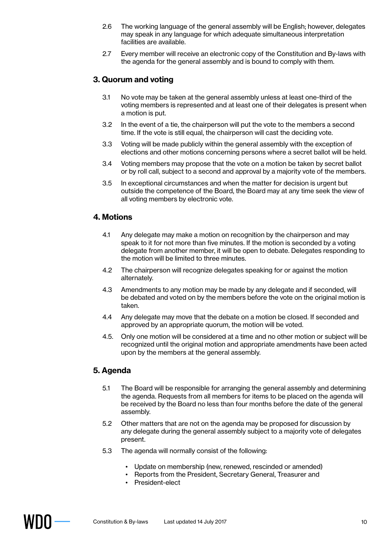- 2.6 The working language of the general assembly will be English; however, delegates may speak in any language for which adequate simultaneous interpretation facilities are available.
- 2.7 Every member will receive an electronic copy of the Constitution and By-laws with the agenda for the general assembly and is bound to comply with them.

#### **3. Quorum and voting**

- 3.1 No vote may be taken at the general assembly unless at least one-third of the voting members is represented and at least one of their delegates is present when a motion is put.
- 3.2 In the event of a tie, the chairperson will put the vote to the members a second time. If the vote is still equal, the chairperson will cast the deciding vote.
- 3.3 Voting will be made publicly within the general assembly with the exception of elections and other motions concerning persons where a secret ballot will be held.
- 3.4 Voting members may propose that the vote on a motion be taken by secret ballot or by roll call, subject to a second and approval by a majority vote of the members.
- 3.5 In exceptional circumstances and when the matter for decision is urgent but outside the competence of the Board, the Board may at any time seek the view of all voting members by electronic vote.

#### **4. Motions**

- 4.1 Any delegate may make a motion on recognition by the chairperson and may speak to it for not more than five minutes. If the motion is seconded by a voting delegate from another member, it will be open to debate. Delegates responding to the motion will be limited to three minutes.
- 4.2 The chairperson will recognize delegates speaking for or against the motion alternately.
- 4.3 Amendments to any motion may be made by any delegate and if seconded, will be debated and voted on by the members before the vote on the original motion is taken.
- 4.4 Any delegate may move that the debate on a motion be closed. If seconded and approved by an appropriate quorum, the motion will be voted.
- 4.5. Only one motion will be considered at a time and no other motion or subject will be recognized until the original motion and appropriate amendments have been acted upon by the members at the general assembly.

#### **5. Agenda**

- 5.1 The Board will be responsible for arranging the general assembly and determining the agenda. Requests from all members for items to be placed on the agenda will be received by the Board no less than four months before the date of the general assembly.
- 5.2 Other matters that are not on the agenda may be proposed for discussion by any delegate during the general assembly subject to a majority vote of delegates present.
- 5.3 The agenda will normally consist of the following:
	- Update on membership (new, renewed, rescinded or amended)
	- Reports from the President, Secretary General, Treasurer and
	- President-elect